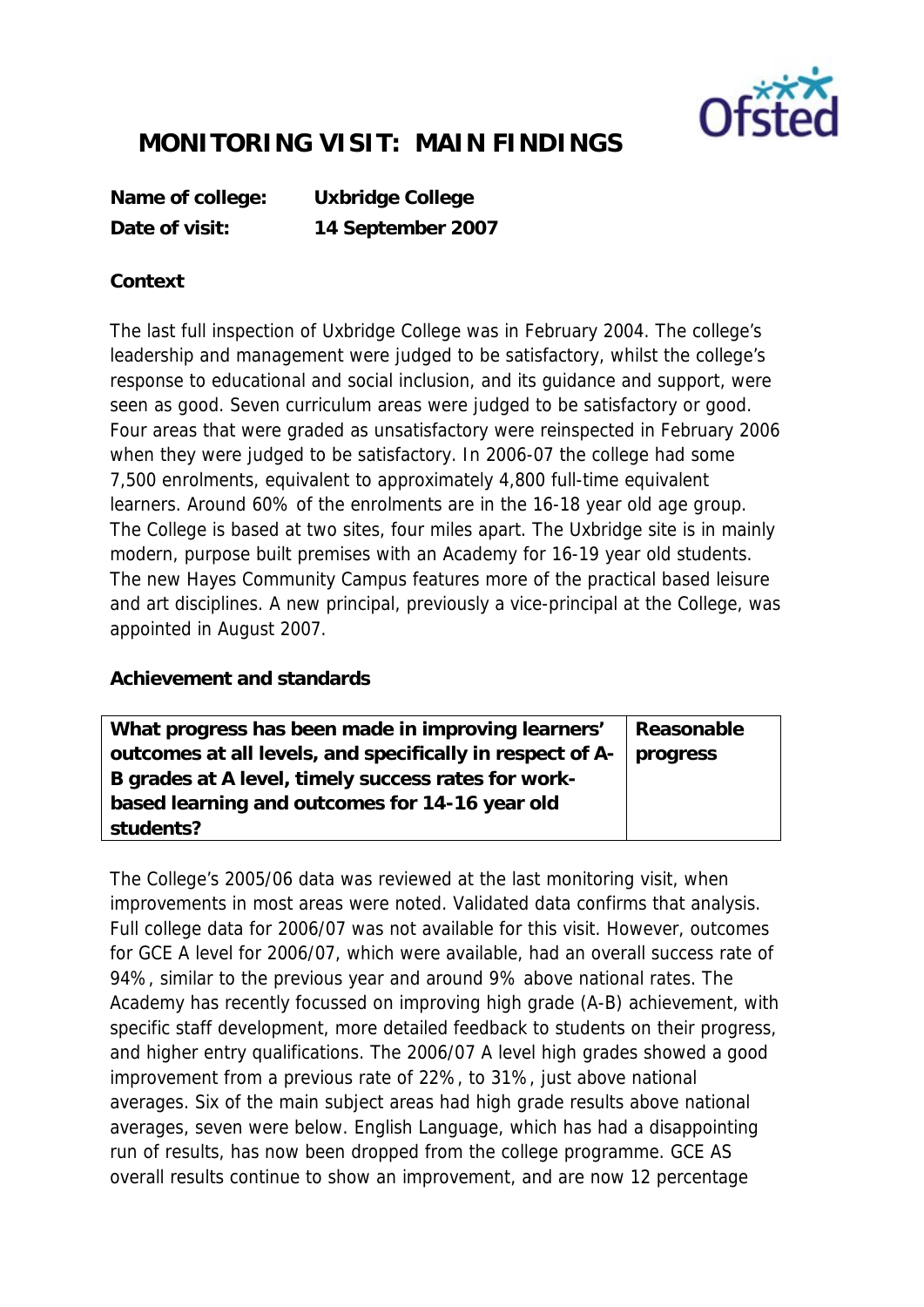

## **MONITORING VISIT: MAIN FINDINGS**

**Name of college: Uxbridge College Date of visit: 14 September 2007**

## **Context**

The last full inspection of Uxbridge College was in February 2004. The college's leadership and management were judged to be satisfactory, whilst the college's response to educational and social inclusion, and its guidance and support, were seen as good. Seven curriculum areas were judged to be satisfactory or good. Four areas that were graded as unsatisfactory were reinspected in February 2006 when they were judged to be satisfactory. In 2006-07 the college had some 7,500 enrolments, equivalent to approximately 4,800 full-time equivalent learners. Around 60% of the enrolments are in the 16-18 year old age group. The College is based at two sites, four miles apart. The Uxbridge site is in mainly modern, purpose built premises with an Academy for 16-19 year old students. The new Hayes Community Campus features more of the practical based leisure and art disciplines. A new principal, previously a vice-principal at the College, was appointed in August 2007.

## **Achievement and standards**

| What progress has been made in improving learners'                   | Reasonable |
|----------------------------------------------------------------------|------------|
| outcomes at all levels, and specifically in respect of A-   progress |            |
| B grades at A level, timely success rates for work-                  |            |
| based learning and outcomes for 14-16 year old                       |            |
| students?                                                            |            |

The College's 2005/06 data was reviewed at the last monitoring visit, when improvements in most areas were noted. Validated data confirms that analysis. Full college data for 2006/07 was not available for this visit. However, outcomes for GCE A level for 2006/07, which were available, had an overall success rate of 94%, similar to the previous year and around 9% above national rates. The Academy has recently focussed on improving high grade (A-B) achievement, with specific staff development, more detailed feedback to students on their progress, and higher entry qualifications. The 2006/07 A level high grades showed a good improvement from a previous rate of 22%, to 31%, just above national averages. Six of the main subject areas had high grade results above national averages, seven were below. English Language, which has had a disappointing run of results, has now been dropped from the college programme. GCE AS overall results continue to show an improvement, and are now 12 percentage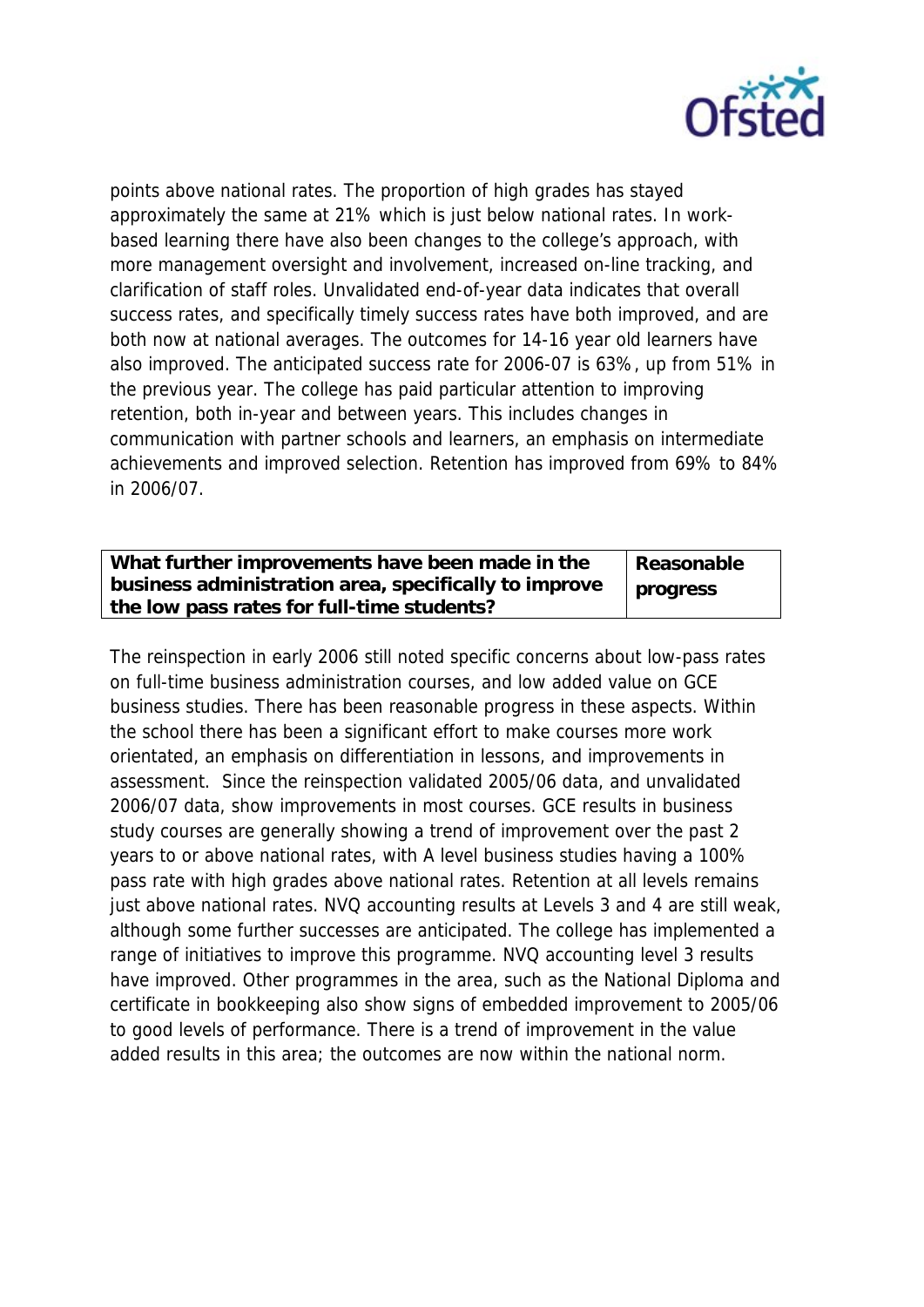

points above national rates. The proportion of high grades has stayed approximately the same at 21% which is just below national rates. In workbased learning there have also been changes to the college's approach, with more management oversight and involvement, increased on-line tracking, and clarification of staff roles. Unvalidated end-of-year data indicates that overall success rates, and specifically timely success rates have both improved, and are both now at national averages. The outcomes for 14-16 year old learners have also improved. The anticipated success rate for 2006-07 is 63%, up from 51% in the previous year. The college has paid particular attention to improving retention, both in-year and between years. This includes changes in communication with partner schools and learners, an emphasis on intermediate achievements and improved selection. Retention has improved from 69% to 84% in 2006/07.

| What further improvements have been made in the       | Reasonable |
|-------------------------------------------------------|------------|
| business administration area, specifically to improve | progress   |
| the low pass rates for full-time students?            |            |

The reinspection in early 2006 still noted specific concerns about low-pass rates on full-time business administration courses, and low added value on GCE business studies. There has been reasonable progress in these aspects. Within the school there has been a significant effort to make courses more work orientated, an emphasis on differentiation in lessons, and improvements in assessment. Since the reinspection validated 2005/06 data, and unvalidated 2006/07 data, show improvements in most courses. GCE results in business study courses are generally showing a trend of improvement over the past 2 years to or above national rates, with A level business studies having a 100% pass rate with high grades above national rates. Retention at all levels remains just above national rates. NVQ accounting results at Levels 3 and 4 are still weak, although some further successes are anticipated. The college has implemented a range of initiatives to improve this programme. NVQ accounting level 3 results have improved. Other programmes in the area, such as the National Diploma and certificate in bookkeeping also show signs of embedded improvement to 2005/06 to good levels of performance. There is a trend of improvement in the value added results in this area; the outcomes are now within the national norm.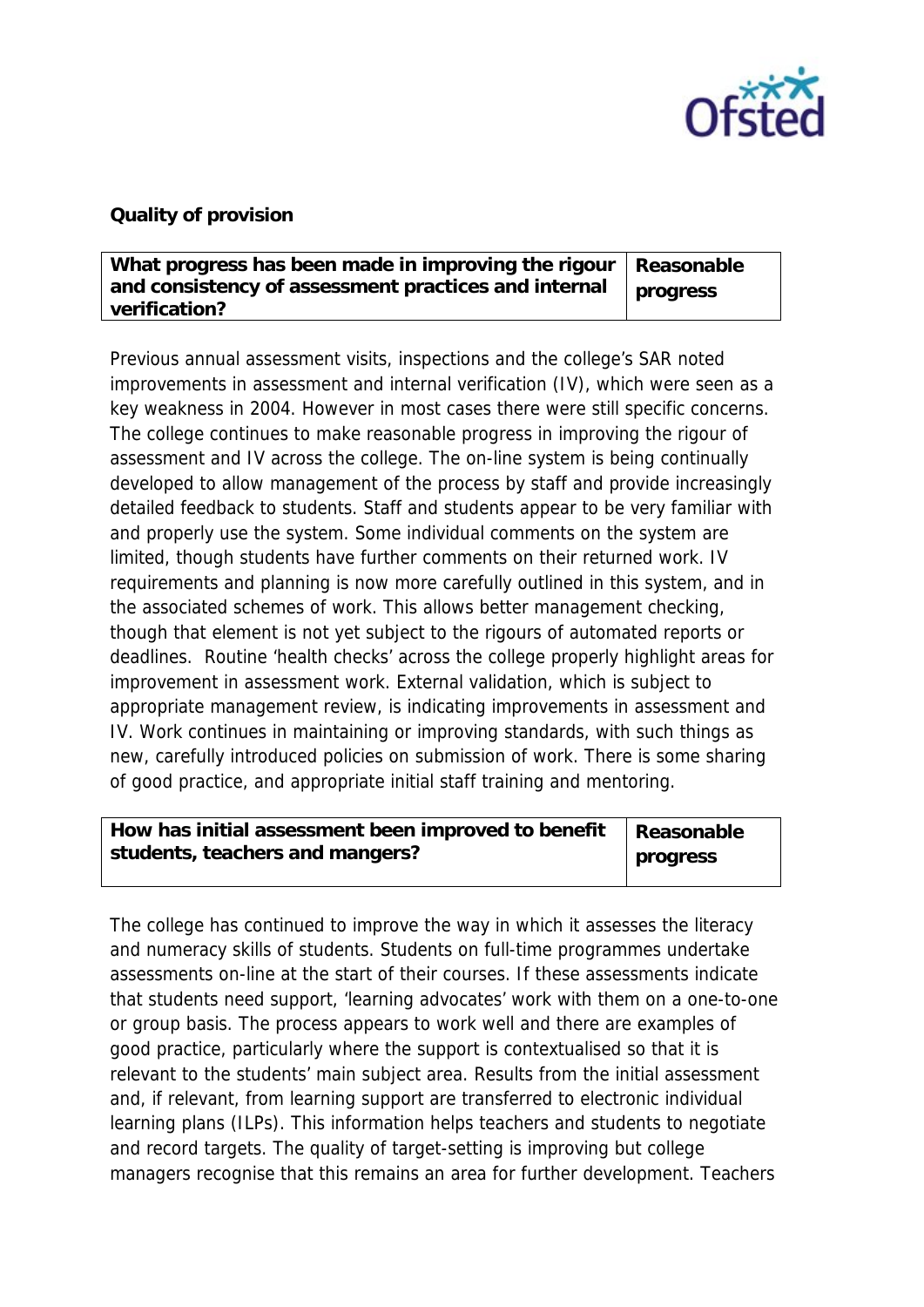

## **Quality of provision**

| What progress has been made in improving the rigour   Reasonable |          |
|------------------------------------------------------------------|----------|
| and consistency of assessment practices and internal             | progress |
| verification?                                                    |          |

Previous annual assessment visits, inspections and the college's SAR noted improvements in assessment and internal verification (IV), which were seen as a key weakness in 2004. However in most cases there were still specific concerns. The college continues to make reasonable progress in improving the rigour of assessment and IV across the college. The on-line system is being continually developed to allow management of the process by staff and provide increasingly detailed feedback to students. Staff and students appear to be very familiar with and properly use the system. Some individual comments on the system are limited, though students have further comments on their returned work. IV requirements and planning is now more carefully outlined in this system, and in the associated schemes of work. This allows better management checking, though that element is not yet subject to the rigours of automated reports or deadlines. Routine 'health checks' across the college properly highlight areas for improvement in assessment work. External validation, which is subject to appropriate management review, is indicating improvements in assessment and IV. Work continues in maintaining or improving standards, with such things as new, carefully introduced policies on submission of work. There is some sharing of good practice, and appropriate initial staff training and mentoring.

| How has initial assessment been improved to benefit $\vert$ Reasonable |          |
|------------------------------------------------------------------------|----------|
| students, teachers and mangers?                                        | progress |

The college has continued to improve the way in which it assesses the literacy and numeracy skills of students. Students on full-time programmes undertake assessments on-line at the start of their courses. If these assessments indicate that students need support, 'learning advocates' work with them on a one-to-one or group basis. The process appears to work well and there are examples of good practice, particularly where the support is contextualised so that it is relevant to the students' main subject area. Results from the initial assessment and, if relevant, from learning support are transferred to electronic individual learning plans (ILPs). This information helps teachers and students to negotiate and record targets. The quality of target-setting is improving but college managers recognise that this remains an area for further development. Teachers